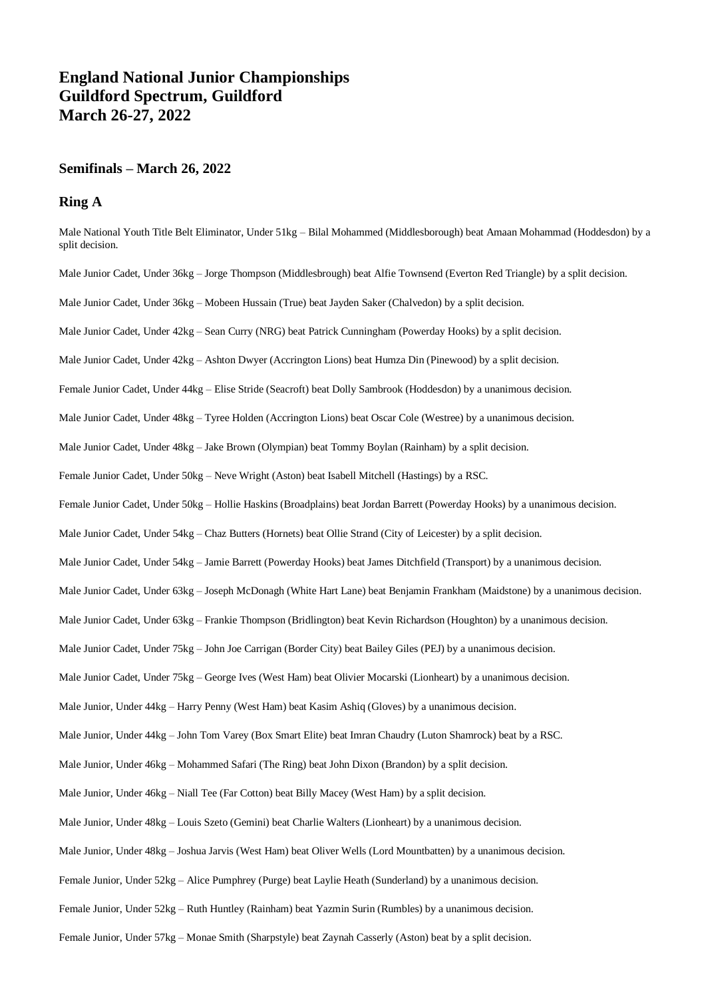# **England National Junior Championships Guildford Spectrum, Guildford March 26-27, 2022**

## **Semifinals – March 26, 2022**

## **Ring A**

Male National Youth Title Belt Eliminator, Under 51kg – Bilal Mohammed (Middlesborough) beat Amaan Mohammad (Hoddesdon) by a split decision.

Male Junior Cadet, Under 36kg – Jorge Thompson (Middlesbrough) beat Alfie Townsend (Everton Red Triangle) by a split decision.

Male Junior Cadet, Under 36kg – Mobeen Hussain (True) beat Jayden Saker (Chalvedon) by a split decision.

Male Junior Cadet, Under 42kg – Sean Curry (NRG) beat Patrick Cunningham (Powerday Hooks) by a split decision.

Male Junior Cadet, Under 42kg – Ashton Dwyer (Accrington Lions) beat Humza Din (Pinewood) by a split decision.

Female Junior Cadet, Under 44kg – Elise Stride (Seacroft) beat Dolly Sambrook (Hoddesdon) by a unanimous decision.

Male Junior Cadet, Under 48kg – Tyree Holden (Accrington Lions) beat Oscar Cole (Westree) by a unanimous decision.

Male Junior Cadet, Under 48kg – Jake Brown (Olympian) beat Tommy Boylan (Rainham) by a split decision.

Female Junior Cadet, Under 50kg – Neve Wright (Aston) beat Isabell Mitchell (Hastings) by a RSC.

Female Junior Cadet, Under 50kg – Hollie Haskins (Broadplains) beat Jordan Barrett (Powerday Hooks) by a unanimous decision.

Male Junior Cadet, Under 54kg – Chaz Butters (Hornets) beat Ollie Strand (City of Leicester) by a split decision.

Male Junior Cadet, Under 54kg – Jamie Barrett (Powerday Hooks) beat James Ditchfield (Transport) by a unanimous decision.

Male Junior Cadet, Under 63kg – Joseph McDonagh (White Hart Lane) beat Benjamin Frankham (Maidstone) by a unanimous decision.

Male Junior Cadet, Under 63kg – Frankie Thompson (Bridlington) beat Kevin Richardson (Houghton) by a unanimous decision.

Male Junior Cadet, Under 75kg – John Joe Carrigan (Border City) beat Bailey Giles (PEJ) by a unanimous decision.

Male Junior Cadet, Under 75kg – George Ives (West Ham) beat Olivier Mocarski (Lionheart) by a unanimous decision.

Male Junior, Under 44kg – Harry Penny (West Ham) beat Kasim Ashiq (Gloves) by a unanimous decision.

Male Junior, Under 44kg – John Tom Varey (Box Smart Elite) beat Imran Chaudry (Luton Shamrock) beat by a RSC.

Male Junior, Under 46kg – Mohammed Safari (The Ring) beat John Dixon (Brandon) by a split decision.

Male Junior, Under 46kg – Niall Tee (Far Cotton) beat Billy Macey (West Ham) by a split decision.

Male Junior, Under 48kg – Louis Szeto (Gemini) beat Charlie Walters (Lionheart) by a unanimous decision.

Male Junior, Under 48kg – Joshua Jarvis (West Ham) beat Oliver Wells (Lord Mountbatten) by a unanimous decision.

Female Junior, Under 52kg – Alice Pumphrey (Purge) beat Laylie Heath (Sunderland) by a unanimous decision.

Female Junior, Under 52kg – Ruth Huntley (Rainham) beat Yazmin Surin (Rumbles) by a unanimous decision.

Female Junior, Under 57kg – Monae Smith (Sharpstyle) beat Zaynah Casserly (Aston) beat by a split decision.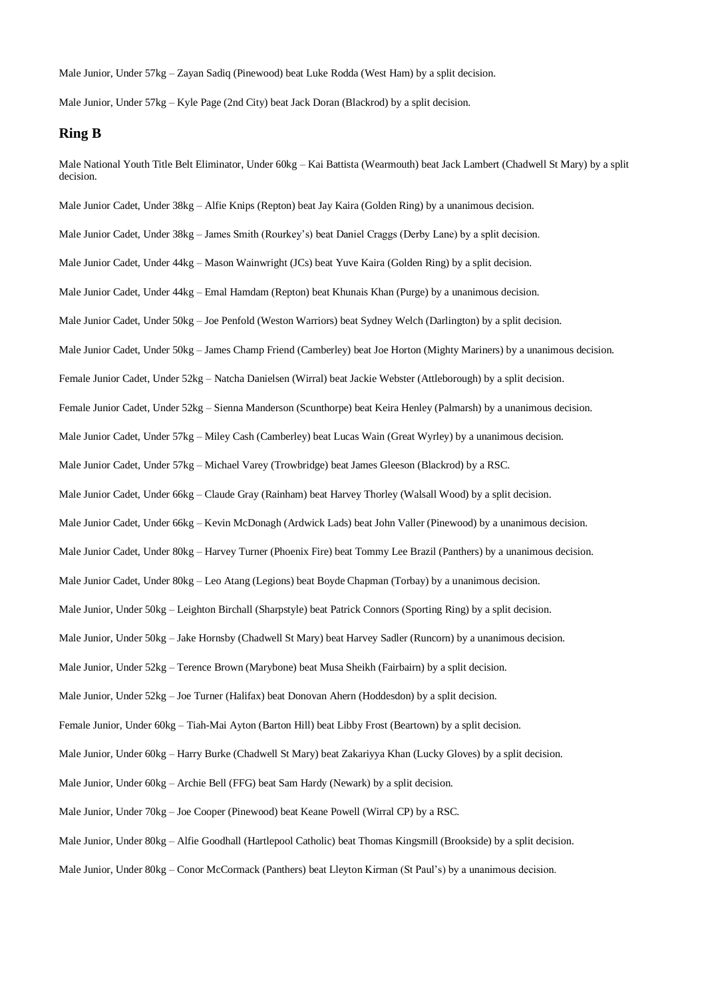Male Junior, Under 57kg – Zayan Sadiq (Pinewood) beat Luke Rodda (West Ham) by a split decision.

Male Junior, Under 57kg – Kyle Page (2nd City) beat Jack Doran (Blackrod) by a split decision.

#### **Ring B**

Male National Youth Title Belt Eliminator, Under 60kg – Kai Battista (Wearmouth) beat Jack Lambert (Chadwell St Mary) by a split decision. Male Junior Cadet, Under 38kg – Alfie Knips (Repton) beat Jay Kaira (Golden Ring) by a unanimous decision. Male Junior Cadet, Under 38kg – James Smith (Rourkey's) beat Daniel Craggs (Derby Lane) by a split decision. Male Junior Cadet, Under 44kg – Mason Wainwright (JCs) beat Yuve Kaira (Golden Ring) by a split decision. Male Junior Cadet, Under 44kg – Emal Hamdam (Repton) beat Khunais Khan (Purge) by a unanimous decision. Male Junior Cadet, Under 50kg – Joe Penfold (Weston Warriors) beat Sydney Welch (Darlington) by a split decision. Male Junior Cadet, Under 50kg – James Champ Friend (Camberley) beat Joe Horton (Mighty Mariners) by a unanimous decision. Female Junior Cadet, Under 52kg – Natcha Danielsen (Wirral) beat Jackie Webster (Attleborough) by a split decision. Female Junior Cadet, Under 52kg – Sienna Manderson (Scunthorpe) beat Keira Henley (Palmarsh) by a unanimous decision. Male Junior Cadet, Under 57kg – Miley Cash (Camberley) beat Lucas Wain (Great Wyrley) by a unanimous decision. Male Junior Cadet, Under 57kg – Michael Varey (Trowbridge) beat James Gleeson (Blackrod) by a RSC. Male Junior Cadet, Under 66kg – Claude Gray (Rainham) beat Harvey Thorley (Walsall Wood) by a split decision. Male Junior Cadet, Under 66kg – Kevin McDonagh (Ardwick Lads) beat John Valler (Pinewood) by a unanimous decision. Male Junior Cadet, Under 80kg – Harvey Turner (Phoenix Fire) beat Tommy Lee Brazil (Panthers) by a unanimous decision. Male Junior Cadet, Under 80kg – Leo Atang (Legions) beat Boyde Chapman (Torbay) by a unanimous decision. Male Junior, Under 50kg – Leighton Birchall (Sharpstyle) beat Patrick Connors (Sporting Ring) by a split decision. Male Junior, Under 50kg – Jake Hornsby (Chadwell St Mary) beat Harvey Sadler (Runcorn) by a unanimous decision. Male Junior, Under 52kg – Terence Brown (Marybone) beat Musa Sheikh (Fairbairn) by a split decision. Male Junior, Under 52kg – Joe Turner (Halifax) beat Donovan Ahern (Hoddesdon) by a split decision. Female Junior, Under 60kg – Tiah-Mai Ayton (Barton Hill) beat Libby Frost (Beartown) by a split decision. Male Junior, Under 60kg – Harry Burke (Chadwell St Mary) beat Zakariyya Khan (Lucky Gloves) by a split decision. Male Junior, Under 60kg – Archie Bell (FFG) beat Sam Hardy (Newark) by a split decision. Male Junior, Under 70kg – Joe Cooper (Pinewood) beat Keane Powell (Wirral CP) by a RSC. Male Junior, Under 80kg – Alfie Goodhall (Hartlepool Catholic) beat Thomas Kingsmill (Brookside) by a split decision. Male Junior, Under 80kg – Conor McCormack (Panthers) beat Lleyton Kirman (St Paul's) by a unanimous decision.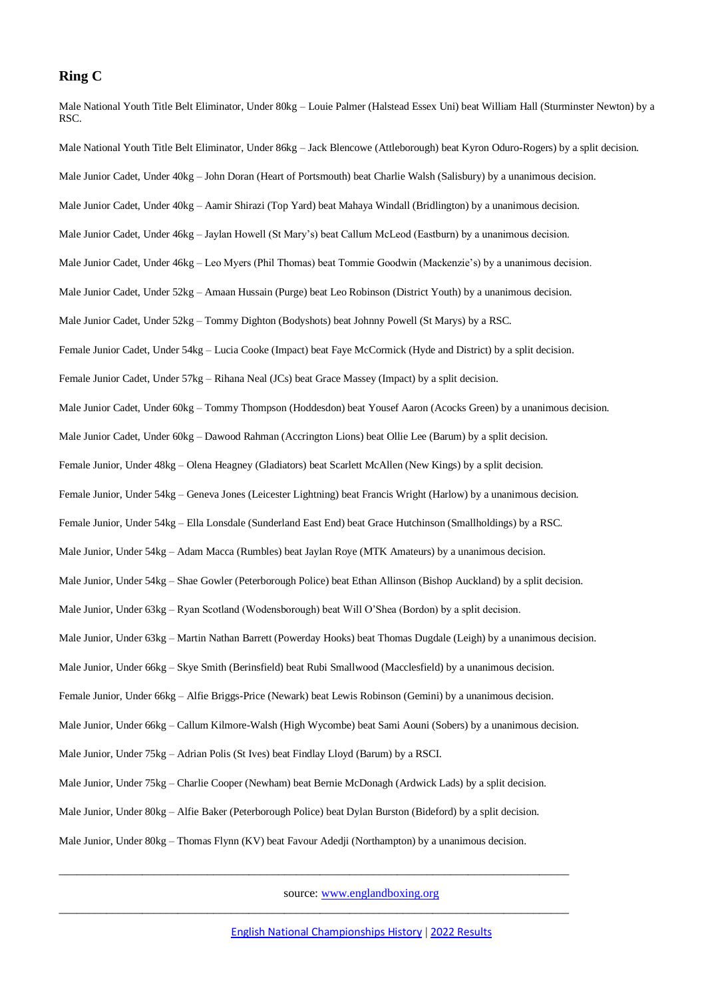#### **Ring C**

Male National Youth Title Belt Eliminator, Under 80kg – Louie Palmer (Halstead Essex Uni) beat William Hall (Sturminster Newton) by a RSC. Male National Youth Title Belt Eliminator, Under 86kg – Jack Blencowe (Attleborough) beat Kyron Oduro-Rogers) by a split decision. Male Junior Cadet, Under 40kg – John Doran (Heart of Portsmouth) beat Charlie Walsh (Salisbury) by a unanimous decision. Male Junior Cadet, Under 40kg – Aamir Shirazi (Top Yard) beat Mahaya Windall (Bridlington) by a unanimous decision. Male Junior Cadet, Under 46kg – Jaylan Howell (St Mary's) beat Callum McLeod (Eastburn) by a unanimous decision. Male Junior Cadet, Under 46kg – Leo Myers (Phil Thomas) beat Tommie Goodwin (Mackenzie's) by a unanimous decision. Male Junior Cadet, Under 52kg – Amaan Hussain (Purge) beat Leo Robinson (District Youth) by a unanimous decision. Male Junior Cadet, Under 52kg – Tommy Dighton (Bodyshots) beat Johnny Powell (St Marys) by a RSC. Female Junior Cadet, Under 54kg – Lucia Cooke (Impact) beat Faye McCormick (Hyde and District) by a split decision. Female Junior Cadet, Under 57kg – Rihana Neal (JCs) beat Grace Massey (Impact) by a split decision. Male Junior Cadet, Under 60kg – Tommy Thompson (Hoddesdon) beat Yousef Aaron (Acocks Green) by a unanimous decision. Male Junior Cadet, Under 60kg – Dawood Rahman (Accrington Lions) beat Ollie Lee (Barum) by a split decision. Female Junior, Under 48kg – Olena Heagney (Gladiators) beat Scarlett McAllen (New Kings) by a split decision. Female Junior, Under 54kg – Geneva Jones (Leicester Lightning) beat Francis Wright (Harlow) by a unanimous decision. Female Junior, Under 54kg – Ella Lonsdale (Sunderland East End) beat Grace Hutchinson (Smallholdings) by a RSC. Male Junior, Under 54kg – Adam Macca (Rumbles) beat Jaylan Roye (MTK Amateurs) by a unanimous decision. Male Junior, Under 54kg – Shae Gowler (Peterborough Police) beat Ethan Allinson (Bishop Auckland) by a split decision. Male Junior, Under 63kg – Ryan Scotland (Wodensborough) beat Will O'Shea (Bordon) by a split decision. Male Junior, Under 63kg – Martin Nathan Barrett (Powerday Hooks) beat Thomas Dugdale (Leigh) by a unanimous decision. Male Junior, Under 66kg – Skye Smith (Berinsfield) beat Rubi Smallwood (Macclesfield) by a unanimous decision. Female Junior, Under 66kg – Alfie Briggs-Price (Newark) beat Lewis Robinson (Gemini) by a unanimous decision. Male Junior, Under 66kg – Callum Kilmore-Walsh (High Wycombe) beat Sami Aouni (Sobers) by a unanimous decision. Male Junior, Under 75kg – Adrian Polis (St Ives) beat Findlay Lloyd (Barum) by a RSCI. Male Junior, Under 75kg – Charlie Cooper (Newham) beat Bernie McDonagh (Ardwick Lads) by a split decision. Male Junior, Under 80kg – Alfie Baker (Peterborough Police) beat Dylan Burston (Bideford) by a split decision. Male Junior, Under 80kg – Thomas Flynn (KV) beat Favour Adedji (Northampton) by a unanimous decision.

source: [www.englandboxing.org](http://www.englandboxing.org/)

\_\_\_\_\_\_\_\_\_\_\_\_\_\_\_\_\_\_\_\_\_\_\_\_\_\_\_\_\_\_\_\_\_\_\_\_\_\_\_\_\_\_\_\_\_\_\_\_\_\_\_\_\_\_\_\_\_\_\_\_\_\_\_\_\_\_\_\_\_\_\_\_\_\_\_\_\_\_\_\_\_\_\_\_\_\_

\_\_\_\_\_\_\_\_\_\_\_\_\_\_\_\_\_\_\_\_\_\_\_\_\_\_\_\_\_\_\_\_\_\_\_\_\_\_\_\_\_\_\_\_\_\_\_\_\_\_\_\_\_\_\_\_\_\_\_\_\_\_\_\_\_\_\_\_\_\_\_\_\_\_\_\_\_\_\_\_\_\_\_\_\_\_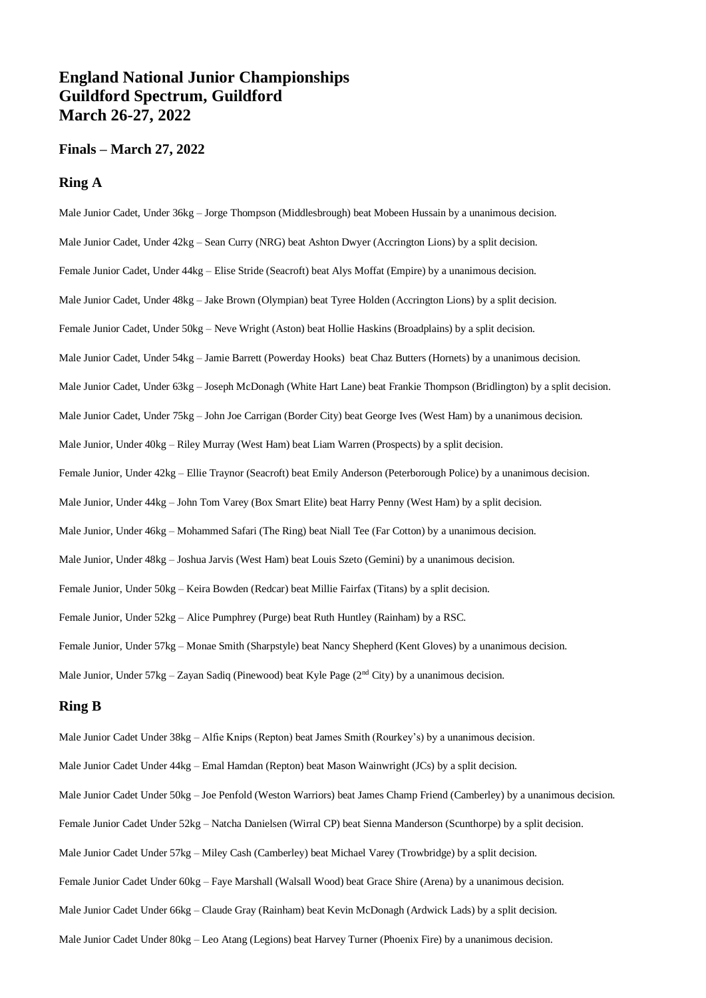## **England National Junior Championships Guildford Spectrum, Guildford March 26-27, 2022**

## **Finals – March 27, 2022**

## **Ring A**

Male Junior Cadet, Under 36kg – Jorge Thompson (Middlesbrough) beat Mobeen Hussain by a unanimous decision. Male Junior Cadet, Under 42kg – Sean Curry (NRG) beat Ashton Dwyer (Accrington Lions) by a split decision. Female Junior Cadet, Under 44kg – Elise Stride (Seacroft) beat Alys Moffat (Empire) by a unanimous decision. Male Junior Cadet, Under 48kg – Jake Brown (Olympian) beat Tyree Holden (Accrington Lions) by a split decision. Female Junior Cadet, Under 50kg – Neve Wright (Aston) beat Hollie Haskins (Broadplains) by a split decision. Male Junior Cadet, Under 54kg – Jamie Barrett (Powerday Hooks) beat Chaz Butters (Hornets) by a unanimous decision. Male Junior Cadet, Under 63kg – Joseph McDonagh (White Hart Lane) beat Frankie Thompson (Bridlington) by a split decision. Male Junior Cadet, Under 75kg – John Joe Carrigan (Border City) beat George Ives (West Ham) by a unanimous decision. Male Junior, Under 40kg – Riley Murray (West Ham) beat Liam Warren (Prospects) by a split decision. Female Junior, Under 42kg – Ellie Traynor (Seacroft) beat Emily Anderson (Peterborough Police) by a unanimous decision. Male Junior, Under 44kg – John Tom Varey (Box Smart Elite) beat Harry Penny (West Ham) by a split decision. Male Junior, Under 46kg – Mohammed Safari (The Ring) beat Niall Tee (Far Cotton) by a unanimous decision. Male Junior, Under 48kg – Joshua Jarvis (West Ham) beat Louis Szeto (Gemini) by a unanimous decision. Female Junior, Under 50kg – Keira Bowden (Redcar) beat Millie Fairfax (Titans) by a split decision. Female Junior, Under 52kg – Alice Pumphrey (Purge) beat Ruth Huntley (Rainham) by a RSC. Female Junior, Under 57kg – Monae Smith (Sharpstyle) beat Nancy Shepherd (Kent Gloves) by a unanimous decision. Male Junior, Under 57kg – Zayan Sadiq (Pinewood) beat Kyle Page (2<sup>nd</sup> City) by a unanimous decision.

### **Ring B**

Male Junior Cadet Under 38kg – Alfie Knips (Repton) beat James Smith (Rourkey's) by a unanimous decision. Male Junior Cadet Under 44kg – Emal Hamdan (Repton) beat Mason Wainwright (JCs) by a split decision. Male Junior Cadet Under 50kg – Joe Penfold (Weston Warriors) beat James Champ Friend (Camberley) by a unanimous decision. Female Junior Cadet Under 52kg – Natcha Danielsen (Wirral CP) beat Sienna Manderson (Scunthorpe) by a split decision. Male Junior Cadet Under 57kg – Miley Cash (Camberley) beat Michael Varey (Trowbridge) by a split decision. Female Junior Cadet Under 60kg – Faye Marshall (Walsall Wood) beat Grace Shire (Arena) by a unanimous decision. Male Junior Cadet Under 66kg – Claude Gray (Rainham) beat Kevin McDonagh (Ardwick Lads) by a split decision. Male Junior Cadet Under 80kg – Leo Atang (Legions) beat Harvey Turner (Phoenix Fire) by a unanimous decision.